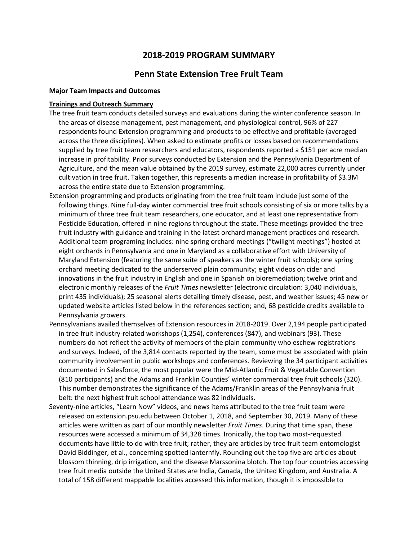# **2018-2019 PROGRAM SUMMARY**

# **Penn State Extension Tree Fruit Team**

## **Major Team Impacts and Outcomes**

#### **Trainings and Outreach Summary**

- The tree fruit team conducts detailed surveys and evaluations during the winter conference season. In the areas of disease management, pest management, and physiological control, 96% of 227 respondents found Extension programming and products to be effective and profitable (averaged across the three disciplines). When asked to estimate profits or losses based on recommendations supplied by tree fruit team researchers and educators, respondents reported a \$151 per acre median increase in profitability. Prior surveys conducted by Extension and the Pennsylvania Department of Agriculture, and the mean value obtained by the 2019 survey, estimate 22,000 acres currently under cultivation in tree fruit. Taken together, this represents a median increase in profitability of \$3.3M across the entire state due to Extension programming.
- Extension programming and products originating from the tree fruit team include just some of the following things. Nine full-day winter commercial tree fruit schools consisting of six or more talks by a minimum of three tree fruit team researchers, one educator, and at least one representative from Pesticide Education, offered in nine regions throughout the state. These meetings provided the tree fruit industry with guidance and training in the latest orchard management practices and research. Additional team programing includes: nine spring orchard meetings ("twilight meetings") hosted at eight orchards in Pennsylvania and one in Maryland as a collaborative effort with University of Maryland Extension (featuring the same suite of speakers as the winter fruit schools); one spring orchard meeting dedicated to the underserved plain community; eight videos on cider and innovations in the fruit industry in English and one in Spanish on bioremediation; twelve print and electronic monthly releases of the *Fruit Times* newsletter (electronic circulation: 3,040 individuals, print 435 individuals); 25 seasonal alerts detailing timely disease, pest, and weather issues; 45 new or updated website articles listed below in the references section; and, 68 pesticide credits available to Pennsylvania growers.
- Pennsylvanians availed themselves of Extension resources in 2018-2019. Over 2,194 people participated in tree fruit industry-related workshops (1,254), conferences (847), and webinars (93). These numbers do not reflect the activity of members of the plain community who eschew registrations and surveys. Indeed, of the 3,814 contacts reported by the team, some must be associated with plain community involvement in public workshops and conferences. Reviewing the 34 participant activities documented in Salesforce, the most popular were the Mid-Atlantic Fruit & Vegetable Convention (810 participants) and the Adams and Franklin Counties' winter commercial tree fruit schools (320). This number demonstrates the significance of the Adams/Franklin areas of the Pennsylvania fruit belt: the next highest fruit school attendance was 82 individuals.
- Seventy-nine articles, "Learn Now" videos, and news items attributed to the tree fruit team were released on extension.psu.edu between October 1, 2018, and September 30, 2019. Many of these articles were written as part of our monthly newsletter *Fruit Times*. During that time span, these resources were accessed a minimum of 34,328 times. Ironically, the top two most-requested documents have little to do with tree fruit; rather, they are articles by tree fruit team entomologist David Biddinger, et al., concerning spotted lanternfly. Rounding out the top five are articles about blossom thinning, drip irrigation, and the disease Marssonina blotch. The top four countries accessing tree fruit media outside the United States are India, Canada, the United Kingdom, and Australia. A total of 158 different mappable localities accessed this information, though it is impossible to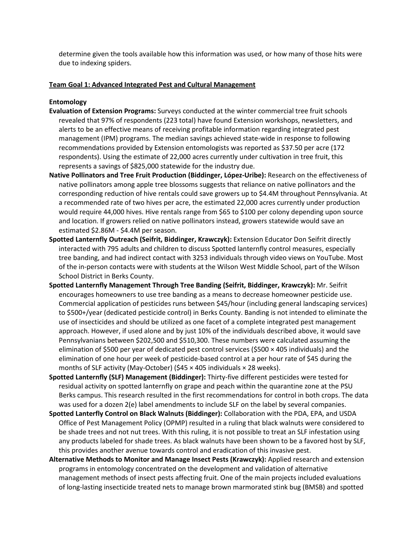determine given the tools available how this information was used, or how many of those hits were due to indexing spiders.

# **Team Goal 1: Advanced Integrated Pest and Cultural Management**

# **Entomology**

- **Evaluation of Extension Programs:** Surveys conducted at the winter commercial tree fruit schools revealed that 97% of respondents (223 total) have found Extension workshops, newsletters, and alerts to be an effective means of receiving profitable information regarding integrated pest management (IPM) programs. The median savings achieved state-wide in response to following recommendations provided by Extension entomologists was reported as \$37.50 per acre (172 respondents). Using the estimate of 22,000 acres currently under cultivation in tree fruit, this represents a savings of \$825,000 statewide for the industry due.
- **Native Pollinators and Tree Fruit Production (Biddinger, López-Uribe):** Research on the effectiveness of native pollinators among apple tree blossoms suggests that reliance on native pollinators and the corresponding reduction of hive rentals could save growers up to \$4.4M throughout Pennsylvania. At a recommended rate of two hives per acre, the estimated 22,000 acres currently under production would require 44,000 hives. Hive rentals range from \$65 to \$100 per colony depending upon source and location. If growers relied on native pollinators instead, growers statewide would save an estimated \$2.86M - \$4.4M per season.
- **Spotted Lanternfly Outreach (Seifrit, Biddinger, Krawczyk):** Extension Educator Don Seifrit directly interacted with 795 adults and children to discuss Spotted lanternfly control measures, especially tree banding, and had indirect contact with 3253 individuals through video views on YouTube. Most of the in-person contacts were with students at the Wilson West Middle School, part of the Wilson School District in Berks County.
- **Spotted Lanternfly Management Through Tree Banding (Seifrit, Biddinger, Krawczyk):** Mr. Seifrit encourages homeowners to use tree banding as a means to decrease homeowner pesticide use. Commercial application of pesticides runs between \$45/hour (including general landscaping services) to \$500+/year (dedicated pesticide control) in Berks County. Banding is not intended to eliminate the use of insecticides and should be utilized as one facet of a complete integrated pest management approach. However, if used alone and by just 10% of the individuals described above, it would save Pennsylvanians between \$202,500 and \$510,300. These numbers were calculated assuming the elimination of \$500 per year of dedicated pest control services (\$500 × 405 individuals) and the elimination of one hour per week of pesticide-based control at a per hour rate of \$45 during the months of SLF activity (May-October) (\$45 × 405 individuals × 28 weeks).
- **Spotted Lanternfly (SLF) Management (Biddinger):** Thirty-five different pesticides were tested for residual activity on spotted lanternfly on grape and peach within the quarantine zone at the PSU Berks campus. This research resulted in the first recommendations for control in both crops. The data was used for a dozen 2(e) label amendments to include SLF on the label by several companies.
- **Spotted Lanterfly Control on Black Walnuts (Biddinger):** Collaboration with the PDA, EPA, and USDA Office of Pest Management Policy (OPMP) resulted in a ruling that black walnuts were considered to be shade trees and not nut trees. With this ruling, it is not possible to treat an SLF infestation using any products labeled for shade trees. As black walnuts have been shown to be a favored host by SLF, this provides another avenue towards control and eradication of this invasive pest.
- **Alternative Methods to Monitor and Manage Insect Pests (Krawczyk):** Applied research and extension programs in entomology concentrated on the development and validation of alternative management methods of insect pests affecting fruit. One of the main projects included evaluations of long-lasting insecticide treated nets to manage brown marmorated stink bug (BMSB) and spotted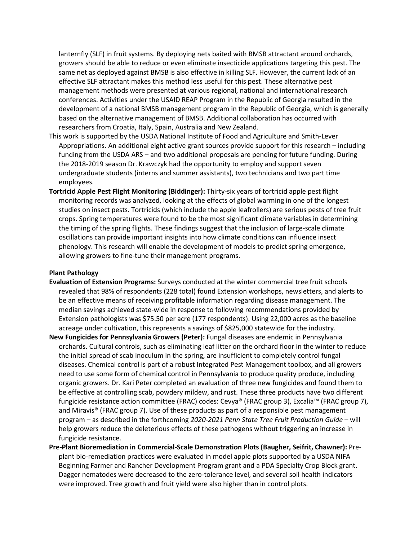lanternfly (SLF) in fruit systems. By deploying nets baited with BMSB attractant around orchards, growers should be able to reduce or even eliminate insecticide applications targeting this pest. The same net as deployed against BMSB is also effective in killing SLF. However, the current lack of an effective SLF attractant makes this method less useful for this pest. These alternative pest management methods were presented at various regional, national and international research conferences. Activities under the USAID REAP Program in the Republic of Georgia resulted in the development of a national BMSB management program in the Republic of Georgia, which is generally based on the alternative management of BMSB. Additional collaboration has occurred with researchers from Croatia, Italy, Spain, Australia and New Zealand.

- This work is supported by the USDA National Institute of Food and Agriculture and Smith-Lever Appropriations. An additional eight active grant sources provide support for this research – including funding from the USDA ARS – and two additional proposals are pending for future funding. During the 2018-2019 season Dr. Krawczyk had the opportunity to employ and support seven undergraduate students (interns and summer assistants), two technicians and two part time employees.
- **Tortricid Apple Pest Flight Monitoring (Biddinger):** Thirty-six years of tortricid apple pest flight monitoring records was analyzed, looking at the effects of global warming in one of the longest studies on insect pests. Tortricids (which include the apple leafrollers) are serious pests of tree fruit crops. Spring temperatures were found to be the most significant climate variables in determining the timing of the spring flights. These findings suggest that the inclusion of large-scale climate oscillations can provide important insights into how climate conditions can influence insect phenology. This research will enable the development of models to predict spring emergence, allowing growers to fine-tune their management programs.

## **Plant Pathology**

- **Evaluation of Extension Programs:** Surveys conducted at the winter commercial tree fruit schools revealed that 98% of respondents (228 total) found Extension workshops, newsletters, and alerts to be an effective means of receiving profitable information regarding disease management. The median savings achieved state-wide in response to following recommendations provided by Extension pathologists was \$75.50 per acre (177 respondents). Using 22,000 acres as the baseline acreage under cultivation, this represents a savings of \$825,000 statewide for the industry.
- **New Fungicides for Pennsylvania Growers (Peter):** Fungal diseases are endemic in Pennsylvania orchards. Cultural controls, such as eliminating leaf litter on the orchard floor in the winter to reduce the initial spread of scab inoculum in the spring, are insufficient to completely control fungal diseases. Chemical control is part of a robust Integrated Pest Management toolbox, and all growers need to use some form of chemical control in Pennsylvania to produce quality produce, including organic growers. Dr. Kari Peter completed an evaluation of three new fungicides and found them to be effective at controlling scab, powdery mildew, and rust. These three products have two different fungicide resistance action committee (FRAC) codes: Cevya® (FRAC group 3), Excalia™ (FRAC group 7), and Miravis® (FRAC group 7). Use of these products as part of a responsible pest management program – as described in the forthcoming *2020-2021 Penn State Tree Fruit Production Guide* – will help growers reduce the deleterious effects of these pathogens without triggering an increase in fungicide resistance.
- **Pre-Plant Bioremediation in Commercial-Scale Demonstration Plots (Baugher, Seifrit, Chawner):** Preplant bio-remediation practices were evaluated in model apple plots supported by a USDA NIFA Beginning Farmer and Rancher Development Program grant and a PDA Specialty Crop Block grant. Dagger nematodes were decreased to the zero-tolerance level, and several soil health indicators were improved. Tree growth and fruit yield were also higher than in control plots.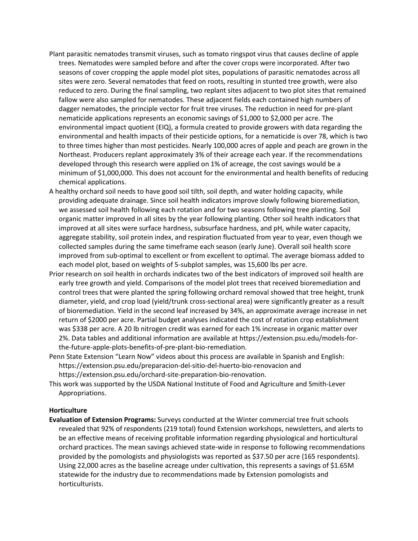- Plant parasitic nematodes transmit viruses, such as tomato ringspot virus that causes decline of apple trees. Nematodes were sampled before and after the cover crops were incorporated. After two seasons of cover cropping the apple model plot sites, populations of parasitic nematodes across all sites were zero. Several nematodes that feed on roots, resulting in stunted tree growth, were also reduced to zero. During the final sampling, two replant sites adjacent to two plot sites that remained fallow were also sampled for nematodes. These adjacent fields each contained high numbers of dagger nematodes, the principle vector for fruit tree viruses. The reduction in need for pre-plant nematicide applications represents an economic savings of \$1,000 to \$2,000 per acre. The environmental impact quotient (EIQ), a formula created to provide growers with data regarding the environmental and health impacts of their pesticide options, for a nematicide is over 78, which is two to three times higher than most pesticides. Nearly 100,000 acres of apple and peach are grown in the Northeast. Producers replant approximately 3% of their acreage each year. If the recommendations developed through this research were applied on 1% of acreage, the cost savings would be a minimum of \$1,000,000. This does not account for the environmental and health benefits of reducing chemical applications.
- A healthy orchard soil needs to have good soil tilth, soil depth, and water holding capacity, while providing adequate drainage. Since soil health indicators improve slowly following bioremediation, we assessed soil health following each rotation and for two seasons following tree planting. Soil organic matter improved in all sites by the year following planting. Other soil health indicators that improved at all sites were surface hardness, subsurface hardness, and pH, while water capacity, aggregate stability, soil protein index, and respiration fluctuated from year to year, even though we collected samples during the same timeframe each season (early June). Overall soil health score improved from sub-optimal to excellent or from excellent to optimal. The average biomass added to each model plot, based on weights of 5-subplot samples, was 15,600 lbs per acre.
- Prior research on soil health in orchards indicates two of the best indicators of improved soil health are early tree growth and yield. Comparisons of the model plot trees that received bioremediation and control trees that were planted the spring following orchard removal showed that tree height, trunk diameter, yield, and crop load (yield/trunk cross-sectional area) were significantly greater as a result of bioremediation. Yield in the second leaf increased by 34%, an approximate average increase in net return of \$2000 per acre. Partial budget analyses indicated the cost of rotation crop establishment was \$338 per acre. A 20 lb nitrogen credit was earned for each 1% increase in organic matter over 2%. Data tables and additional information are available at https://extension.psu.edu/models-forthe-future-apple-plots-benefits-of-pre-plant-bio-remediation.
- Penn State Extension "Learn Now" videos about this process are available in Spanish and English: https://extension.psu.edu/preparacion-del-sitio-del-huerto-bio-renovacion and https://extension.psu.edu/orchard-site-preparation-bio-renovation.
- This work was supported by the USDA National Institute of Food and Agriculture and Smith-Lever Appropriations.

# **Horticulture**

**Evaluation of Extension Programs:** Surveys conducted at the Winter commercial tree fruit schools revealed that 92% of respondents (219 total) found Extension workshops, newsletters, and alerts to be an effective means of receiving profitable information regarding physiological and horticultural orchard practices. The mean savings achieved state-wide in response to following recommendations provided by the pomologists and physiologists was reported as \$37.50 per acre (165 respondents). Using 22,000 acres as the baseline acreage under cultivation, this represents a savings of \$1.65M statewide for the industry due to recommendations made by Extension pomologists and horticulturists.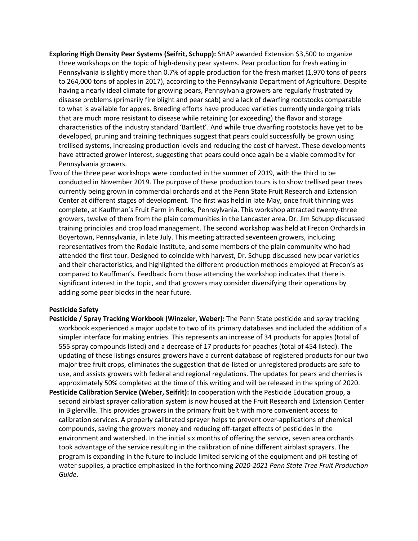- **Exploring High Density Pear Systems (Seifrit, Schupp):** SHAP awarded Extension \$3,500 to organize three workshops on the topic of high-density pear systems. Pear production for fresh eating in Pennsylvania is slightly more than 0.7% of apple production for the fresh market (1,970 tons of pears to 264,000 tons of apples in 2017), according to the Pennsylvania Department of Agriculture. Despite having a nearly ideal climate for growing pears, Pennsylvania growers are regularly frustrated by disease problems (primarily fire blight and pear scab) and a lack of dwarfing rootstocks comparable to what is available for apples. Breeding efforts have produced varieties currently undergoing trials that are much more resistant to disease while retaining (or exceeding) the flavor and storage characteristics of the industry standard 'Bartlett'. And while true dwarfing rootstocks have yet to be developed, pruning and training techniques suggest that pears could successfully be grown using trellised systems, increasing production levels and reducing the cost of harvest. These developments have attracted grower interest, suggesting that pears could once again be a viable commodity for Pennsylvania growers.
- Two of the three pear workshops were conducted in the summer of 2019, with the third to be conducted in November 2019. The purpose of these production tours is to show trellised pear trees currently being grown in commercial orchards and at the Penn State Fruit Research and Extension Center at different stages of development. The first was held in late May, once fruit thinning was complete, at Kauffman's Fruit Farm in Ronks, Pennsylvania. This workshop attracted twenty-three growers, twelve of them from the plain communities in the Lancaster area. Dr. Jim Schupp discussed training principles and crop load management. The second workshop was held at Frecon Orchards in Boyertown, Pennsylvania, in late July. This meeting attracted seventeen growers, including representatives from the Rodale Institute, and some members of the plain community who had attended the first tour. Designed to coincide with harvest, Dr. Schupp discussed new pear varieties and their characteristics, and highlighted the different production methods employed at Frecon's as compared to Kauffman's. Feedback from those attending the workshop indicates that there is significant interest in the topic, and that growers may consider diversifying their operations by adding some pear blocks in the near future.

## **Pesticide Safety**

- **Pesticide / Spray Tracking Workbook (Winzeler, Weber):** The Penn State pesticide and spray tracking workbook experienced a major update to two of its primary databases and included the addition of a simpler interface for making entries. This represents an increase of 34 products for apples (total of 555 spray compounds listed) and a decrease of 17 products for peaches (total of 454 listed). The updating of these listings ensures growers have a current database of registered products for our two major tree fruit crops, eliminates the suggestion that de-listed or unregistered products are safe to use, and assists growers with federal and regional regulations. The updates for pears and cherries is approximately 50% completed at the time of this writing and will be released in the spring of 2020.
- **Pesticide Calibration Service (Weber, Seifrit):** In cooperation with the Pesticide Education group, a second airblast sprayer calibration system is now housed at the Fruit Research and Extension Center in Biglerville. This provides growers in the primary fruit belt with more convenient access to calibration services. A properly calibrated sprayer helps to prevent over-applications of chemical compounds, saving the growers money and reducing off-target effects of pesticides in the environment and watershed. In the initial six months of offering the service, seven area orchards took advantage of the service resulting in the calibration of nine different airblast sprayers. The program is expanding in the future to include limited servicing of the equipment and pH testing of water supplies, a practice emphasized in the forthcoming *2020-2021 Penn State Tree Fruit Production Guide*.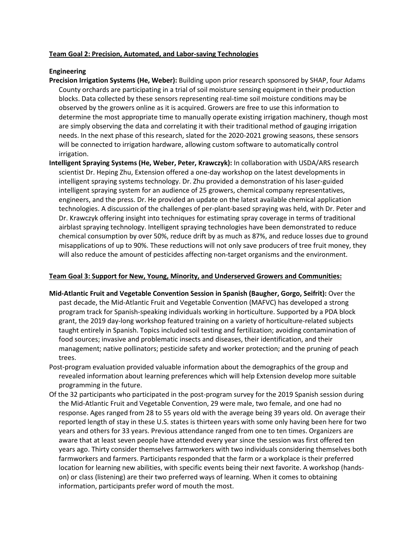# **Team Goal 2: Precision, Automated, and Labor-saving Technologies**

# **Engineering**

- **Precision Irrigation Systems (He, Weber):** Building upon prior research sponsored by SHAP, four Adams County orchards are participating in a trial of soil moisture sensing equipment in their production blocks. Data collected by these sensors representing real-time soil moisture conditions may be observed by the growers online as it is acquired. Growers are free to use this information to determine the most appropriate time to manually operate existing irrigation machinery, though most are simply observing the data and correlating it with their traditional method of gauging irrigation needs. In the next phase of this research, slated for the 2020-2021 growing seasons, these sensors will be connected to irrigation hardware, allowing custom software to automatically control irrigation.
- **Intelligent Spraying Systems (He, Weber, Peter, Krawczyk):** In collaboration with USDA/ARS research scientist Dr. Heping Zhu, Extension offered a one-day workshop on the latest developments in intelligent spraying systems technology. Dr. Zhu provided a demonstration of his laser-guided intelligent spraying system for an audience of 25 growers, chemical company representatives, engineers, and the press. Dr. He provided an update on the latest available chemical application technologies. A discussion of the challenges of per-plant-based spraying was held, with Dr. Peter and Dr. Krawczyk offering insight into techniques for estimating spray coverage in terms of traditional airblast spraying technology. Intelligent spraying technologies have been demonstrated to reduce chemical consumption by over 50%, reduce drift by as much as 87%, and reduce losses due to ground misapplications of up to 90%. These reductions will not only save producers of tree fruit money, they will also reduce the amount of pesticides affecting non-target organisms and the environment.

## **Team Goal 3: Support for New, Young, Minority, and Underserved Growers and Communities:**

- **Mid-Atlantic Fruit and Vegetable Convention Session in Spanish (Baugher, Gorgo, Seifrit):** Over the past decade, the Mid-Atlantic Fruit and Vegetable Convention (MAFVC) has developed a strong program track for Spanish-speaking individuals working in horticulture. Supported by a PDA block grant, the 2019 day-long workshop featured training on a variety of horticulture-related subjects taught entirely in Spanish. Topics included soil testing and fertilization; avoiding contamination of food sources; invasive and problematic insects and diseases, their identification, and their management; native pollinators; pesticide safety and worker protection; and the pruning of peach trees.
- Post-program evaluation provided valuable information about the demographics of the group and revealed information about learning preferences which will help Extension develop more suitable programming in the future.
- Of the 32 participants who participated in the post-program survey for the 2019 Spanish session during the Mid-Atlantic Fruit and Vegetable Convention, 29 were male, two female, and one had no response. Ages ranged from 28 to 55 years old with the average being 39 years old. On average their reported length of stay in these U.S. states is thirteen years with some only having been here for two years and others for 33 years. Previous attendance ranged from one to ten times. Organizers are aware that at least seven people have attended every year since the session was first offered ten years ago. Thirty consider themselves farmworkers with two individuals considering themselves both farmworkers and farmers. Participants responded that the farm or a workplace is their preferred location for learning new abilities, with specific events being their next favorite. A workshop (handson) or class (listening) are their two preferred ways of learning. When it comes to obtaining information, participants prefer word of mouth the most.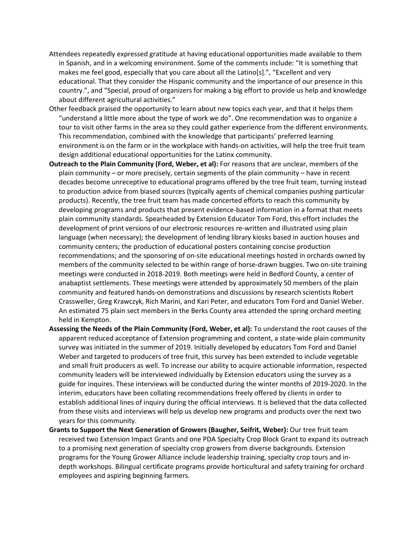- Attendees repeatedly expressed gratitude at having educational opportunities made available to them in Spanish, and in a welcoming environment. Some of the comments include: "It is something that makes me feel good, especially that you care about all the Latino[s].", "Excellent and very educational. That they consider the Hispanic community and the importance of our presence in this country.", and "Special, proud of organizers for making a big effort to provide us help and knowledge about different agricultural activities."
- Other feedback praised the opportunity to learn about new topics each year, and that it helps them "understand a little more about the type of work we do". One recommendation was to organize a tour to visit other farms in the area so they could gather experience from the different environments. This recommendation, combined with the knowledge that participants' preferred learning environment is on the farm or in the workplace with hands-on activities, will help the tree fruit team design additional educational opportunities for the Latinx community.
- **Outreach to the Plain Community (Ford, Weber, et al):** For reasons that are unclear, members of the plain community – or more precisely, certain segments of the plain community – have in recent decades become unreceptive to educational programs offered by the tree fruit team, turning instead to production advice from biased sources (typically agents of chemical companies pushing particular products). Recently, the tree fruit team has made concerted efforts to reach this community by developing programs and products that present evidence-based information in a format that meets plain community standards. Spearheaded by Extension Educator Tom Ford, this effort includes the development of print versions of our electronic resources re-written and illustrated using plain language (when necessary); the development of lending library kiosks based in auction houses and community centers; the production of educational posters containing concise production recommendations; and the sponsoring of on-site educational meetings hosted in orchards owned by members of the community selected to be within range of horse-drawn buggies. Two on-site training meetings were conducted in 2018-2019. Both meetings were held in Bedford County, a center of anabaptist settlements. These meetings were attended by approximately 50 members of the plain community and featured hands-on demonstrations and discussions by research scientists Robert Crassweller, Greg Krawczyk, Rich Marini, and Kari Peter, and educators Tom Ford and Daniel Weber. An estimated 75 plain sect members in the Berks County area attended the spring orchard meeting held in Kempton.
- **Assessing the Needs of the Plain Community (Ford, Weber, et al):** To understand the root causes of the apparent reduced acceptance of Extension programming and content, a state-wide plain community survey was initiated in the summer of 2019. Initially developed by educators Tom Ford and Daniel Weber and targeted to producers of tree fruit, this survey has been extended to include vegetable and small fruit producers as well. To increase our ability to acquire actionable information, respected community leaders will be interviewed individually by Extension educators using the survey as a guide for inquires. These interviews will be conducted during the winter months of 2019-2020. In the interim, educators have been collating recommendations freely offered by clients in order to establish additional lines of inquiry during the official interviews. It is believed that the data collected from these visits and interviews will help us develop new programs and products over the next two years for this community.
- **Grants to Support the Next Generation of Growers (Baugher, Seifrit, Weber):** Our tree fruit team received two Extension Impact Grants and one PDA Specialty Crop Block Grant to expand its outreach to a promising next generation of specialty crop growers from diverse backgrounds. Extension programs for the Young Grower Alliance include leadership training, specialty crop tours and indepth workshops. Bilingual certificate programs provide horticultural and safety training for orchard employees and aspiring beginning farmers.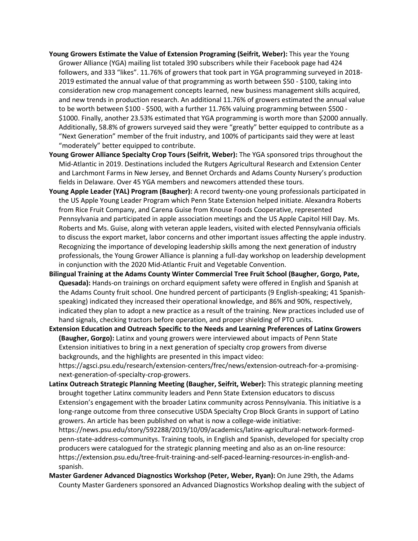- **Young Growers Estimate the Value of Extension Programing (Seifrit, Weber):** This year the Young Grower Alliance (YGA) mailing list totaled 390 subscribers while their Facebook page had 424 followers, and 333 "likes". 11.76% of growers that took part in YGA programming surveyed in 2018- 2019 estimated the annual value of that programming as worth between \$50 - \$100, taking into consideration new crop management concepts learned, new business management skills acquired, and new trends in production research. An additional 11.76% of growers estimated the annual value to be worth between \$100 - \$500, with a further 11.76% valuing programming between \$500 - \$1000. Finally, another 23.53% estimated that YGA programming is worth more than \$2000 annually. Additionally, 58.8% of growers surveyed said they were "greatly" better equipped to contribute as a "Next Generation" member of the fruit industry, and 100% of participants said they were at least "moderately" better equipped to contribute.
- **Young Grower Alliance Specialty Crop Tours (Seifrit, Weber):** The YGA sponsored trips throughout the Mid-Atlantic in 2019. Destinations included the Rutgers Agricultural Research and Extension Center and Larchmont Farms in New Jersey, and Bennet Orchards and Adams County Nursery's production fields in Delaware. Over 45 YGA members and newcomers attended these tours.
- **Young Apple Leader (YAL) Program (Baugher):** A record twenty-one young professionals participated in the US Apple Young Leader Program which Penn State Extension helped initiate. Alexandra Roberts from Rice Fruit Company, and Carena Guise from Knouse Foods Cooperative, represented Pennsylvania and participated in apple association meetings and the US Apple Capitol Hill Day. Ms. Roberts and Ms. Guise, along with veteran apple leaders, visited with elected Pennsylvania officials to discuss the export market, labor concerns and other important issues affecting the apple industry. Recognizing the importance of developing leadership skills among the next generation of industry professionals, the Young Grower Alliance is planning a full-day workshop on leadership development in conjunction with the 2020 Mid-Atlantic Fruit and Vegetable Convention.
- **Bilingual Training at the Adams County Winter Commercial Tree Fruit School (Baugher, Gorgo, Pate, Quesada):** Hands-on trainings on orchard equipment safety were offered in English and Spanish at the Adams County fruit school. One hundred percent of participants (9 English-speaking; 41 Spanishspeaking) indicated they increased their operational knowledge, and 86% and 90%, respectively, indicated they plan to adopt a new practice as a result of the training. New practices included use of hand signals, checking tractors before operation, and proper shielding of PTO units.
- **Extension Education and Outreach Specific to the Needs and Learning Preferences of Latinx Growers (Baugher, Gorgo):** Latinx and young growers were interviewed about impacts of Penn State Extension initiatives to bring in a next generation of specialty crop growers from diverse backgrounds, and the highlights are presented in this impact video: https://agsci.psu.edu/research/extension-centers/frec/news/extension-outreach-for-a-promisingnext-generation-of-specialty-crop-growers.
- **Latinx Outreach Strategic Planning Meeting (Baugher, Seifrit, Weber):** This strategic planning meeting brought together Latinx community leaders and Penn State Extension educators to discuss Extension's engagement with the broader Latinx community across Pennsylvania. This initiative is a long-range outcome from three consecutive USDA Specialty Crop Block Grants in support of Latino growers. An article has been published on what is now a college-wide initiative: https://news.psu.edu/story/592288/2019/10/09/academics/latinx-agricultural-network-formedpenn-state-address-communitys. Training tools, in English and Spanish, developed for specialty crop producers were catalogued for the strategic planning meeting and also as an on-line resource: https://extension.psu.edu/tree-fruit-training-and-self-paced-learning-resources-in-english-andspanish.
- **Master Gardener Advanced Diagnostics Workshop (Peter, Weber, Ryan):** On June 29th, the Adams County Master Gardeners sponsored an Advanced Diagnostics Workshop dealing with the subject of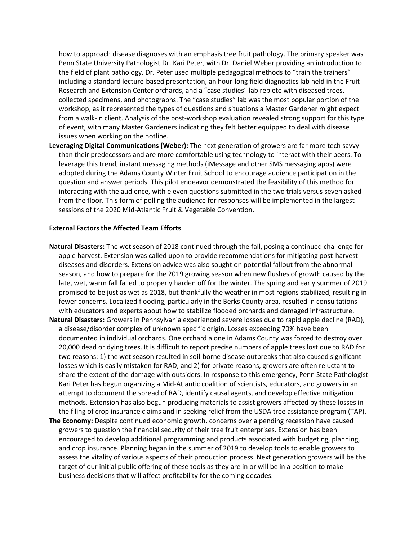how to approach disease diagnoses with an emphasis tree fruit pathology. The primary speaker was Penn State University Pathologist Dr. Kari Peter, with Dr. Daniel Weber providing an introduction to the field of plant pathology. Dr. Peter used multiple pedagogical methods to "train the trainers" including a standard lecture-based presentation, an hour-long field diagnostics lab held in the Fruit Research and Extension Center orchards, and a "case studies" lab replete with diseased trees, collected specimens, and photographs. The "case studies" lab was the most popular portion of the workshop, as it represented the types of questions and situations a Master Gardener might expect from a walk-in client. Analysis of the post-workshop evaluation revealed strong support for this type of event, with many Master Gardeners indicating they felt better equipped to deal with disease issues when working on the hotline.

**Leveraging Digital Communications (Weber):** The next generation of growers are far more tech savvy than their predecessors and are more comfortable using technology to interact with their peers. To leverage this trend, instant messaging methods (iMessage and other SMS messaging apps) were adopted during the Adams County Winter Fruit School to encourage audience participation in the question and answer periods. This pilot endeavor demonstrated the feasibility of this method for interacting with the audience, with eleven questions submitted in the two trials versus seven asked from the floor. This form of polling the audience for responses will be implemented in the largest sessions of the 2020 Mid-Atlantic Fruit & Vegetable Convention.

#### **External Factors the Affected Team Efforts**

- **Natural Disasters:** The wet season of 2018 continued through the fall, posing a continued challenge for apple harvest. Extension was called upon to provide recommendations for mitigating post-harvest diseases and disorders. Extension advice was also sought on potential fallout from the abnormal season, and how to prepare for the 2019 growing season when new flushes of growth caused by the late, wet, warm fall failed to properly harden off for the winter. The spring and early summer of 2019 promised to be just as wet as 2018, but thankfully the weather in most regions stabilized, resulting in fewer concerns. Localized flooding, particularly in the Berks County area, resulted in consultations with educators and experts about how to stabilize flooded orchards and damaged infrastructure.
- **Natural Disasters:** Growers in Pennsylvania experienced severe losses due to rapid apple decline (RAD), a disease/disorder complex of unknown specific origin. Losses exceeding 70% have been documented in individual orchards. One orchard alone in Adams County was forced to destroy over 20,000 dead or dying trees. It is difficult to report precise numbers of apple trees lost due to RAD for two reasons: 1) the wet season resulted in soil-borne disease outbreaks that also caused significant losses which is easily mistaken for RAD, and 2) for private reasons, growers are often reluctant to share the extent of the damage with outsiders. In response to this emergency, Penn State Pathologist Kari Peter has begun organizing a Mid-Atlantic coalition of scientists, educators, and growers in an attempt to document the spread of RAD, identify causal agents, and develop effective mitigation methods. Extension has also begun producing materials to assist growers affected by these losses in the filing of crop insurance claims and in seeking relief from the USDA tree assistance program (TAP).
- **The Economy:** Despite continued economic growth, concerns over a pending recession have caused growers to question the financial security of their tree fruit enterprises. Extension has been encouraged to develop additional programming and products associated with budgeting, planning, and crop insurance. Planning began in the summer of 2019 to develop tools to enable growers to assess the vitality of various aspects of their production process. Next generation growers will be the target of our initial public offering of these tools as they are in or will be in a position to make business decisions that will affect profitability for the coming decades.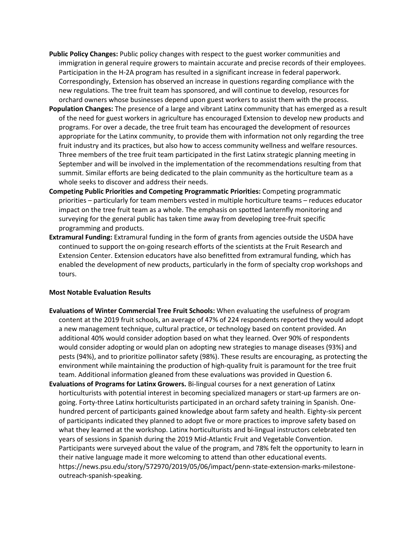- **Public Policy Changes:** Public policy changes with respect to the guest worker communities and immigration in general require growers to maintain accurate and precise records of their employees. Participation in the H-2A program has resulted in a significant increase in federal paperwork. Correspondingly, Extension has observed an increase in questions regarding compliance with the new regulations. The tree fruit team has sponsored, and will continue to develop, resources for orchard owners whose businesses depend upon guest workers to assist them with the process.
- **Population Changes:** The presence of a large and vibrant Latinx community that has emerged as a result of the need for guest workers in agriculture has encouraged Extension to develop new products and programs. For over a decade, the tree fruit team has encouraged the development of resources appropriate for the Latinx community, to provide them with information not only regarding the tree fruit industry and its practices, but also how to access community wellness and welfare resources. Three members of the tree fruit team participated in the first Latinx strategic planning meeting in September and will be involved in the implementation of the recommendations resulting from that summit. Similar efforts are being dedicated to the plain community as the horticulture team as a whole seeks to discover and address their needs.
- **Competing Public Priorities and Competing Programmatic Priorities:** Competing programmatic priorities – particularly for team members vested in multiple horticulture teams – reduces educator impact on the tree fruit team as a whole. The emphasis on spotted lanternfly monitoring and surveying for the general public has taken time away from developing tree-fruit specific programming and products.
- **Extramural Funding:** Extramural funding in the form of grants from agencies outside the USDA have continued to support the on-going research efforts of the scientists at the Fruit Research and Extension Center. Extension educators have also benefitted from extramural funding, which has enabled the development of new products, particularly in the form of specialty crop workshops and tours.

## **Most Notable Evaluation Results**

- **Evaluations of Winter Commercial Tree Fruit Schools:** When evaluating the usefulness of program content at the 2019 fruit schools, an average of 47% of 224 respondents reported they would adopt a new management technique, cultural practice, or technology based on content provided. An additional 40% would consider adoption based on what they learned. Over 90% of respondents would consider adopting or would plan on adopting new strategies to manage diseases (93%) and pests (94%), and to prioritize pollinator safety (98%). These results are encouraging, as protecting the environment while maintaining the production of high-quality fruit is paramount for the tree fruit team. Additional information gleaned from these evaluations was provided in Question 6.
- **Evaluations of Programs for Latinx Growers.** Bi-lingual courses for a next generation of Latinx horticulturists with potential interest in becoming specialized managers or start-up farmers are ongoing. Forty-three Latinx horticulturists participated in an orchard safety training in Spanish. Onehundred percent of participants gained knowledge about farm safety and health. Eighty-six percent of participants indicated they planned to adopt five or more practices to improve safety based on what they learned at the workshop. Latinx horticulturists and bi-lingual instructors celebrated ten years of sessions in Spanish during the 2019 Mid-Atlantic Fruit and Vegetable Convention. Participants were surveyed about the value of the program, and 78% felt the opportunity to learn in their native language made it more welcoming to attend than other educational events. https://news.psu.edu/story/572970/2019/05/06/impact/penn-state-extension-marks-milestoneoutreach-spanish-speaking.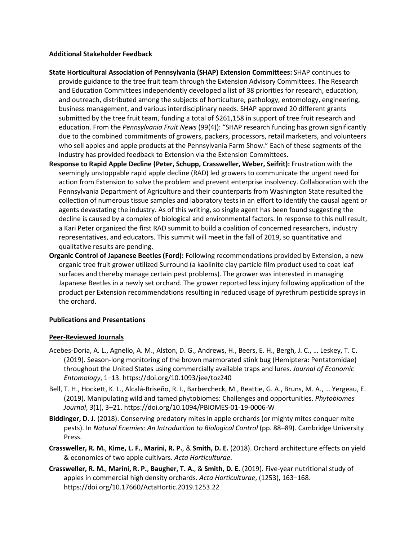# **Additional Stakeholder Feedback**

- **State Horticultural Association of Pennsylvania (SHAP) Extension Committees:** SHAP continues to provide guidance to the tree fruit team through the Extension Advisory Committees. The Research and Education Committees independently developed a list of 38 priorities for research, education, and outreach, distributed among the subjects of horticulture, pathology, entomology, engineering, business management, and various interdisciplinary needs. SHAP approved 20 different grants submitted by the tree fruit team, funding a total of \$261,158 in support of tree fruit research and education. From the *Pennsylvania Fruit News* (99(4)): "SHAP research funding has grown significantly due to the combined commitments of growers, packers, processors, retail marketers, and volunteers who sell apples and apple products at the Pennsylvania Farm Show." Each of these segments of the industry has provided feedback to Extension via the Extension Committees.
- **Response to Rapid Apple Decline (Peter, Schupp, Crassweller, Weber, Seifrit):** Frustration with the seemingly unstoppable rapid apple decline (RAD) led growers to communicate the urgent need for action from Extension to solve the problem and prevent enterprise insolvency. Collaboration with the Pennsylvania Department of Agriculture and their counterparts from Washington State resulted the collection of numerous tissue samples and laboratory tests in an effort to identify the causal agent or agents devastating the industry. As of this writing, so single agent has been found suggesting the decline is caused by a complex of biological and environmental factors. In response to this null result, a Kari Peter organized the first RAD summit to build a coalition of concerned researchers, industry representatives, and educators. This summit will meet in the fall of 2019, so quantitative and qualitative results are pending.
- **Organic Control of Japanese Beetles (Ford):** Following recommendations provided by Extension, a new organic tree fruit grower utilized Surround (a kaolinite clay particle film product used to coat leaf surfaces and thereby manage certain pest problems). The grower was interested in managing Japanese Beetles in a newly set orchard. The grower reported less injury following application of the product per Extension recommendations resulting in reduced usage of pyrethrum pesticide sprays in the orchard.

# **Publications and Presentations**

## **Peer-Reviewed Journals**

- Acebes-Doria, A. L., Agnello, A. M., Alston, D. G., Andrews, H., Beers, E. H., Bergh, J. C., … Leskey, T. C. (2019). Season-long monitoring of the brown marmorated stink bug (Hemiptera: Pentatomidae) throughout the United States using commercially available traps and lures. *Journal of Economic Entomology*, 1–13. https://doi.org/10.1093/jee/toz240
- Bell, T. H., Hockett, K. L., Alcalá-Briseño, R. I., Barbercheck, M., Beattie, G. A., Bruns, M. A., … Yergeau, E. (2019). Manipulating wild and tamed phytobiomes: Challenges and opportunities. *Phytobiomes Journal*, *3*(1), 3–21. https://doi.org/10.1094/PBIOMES-01-19-0006-W
- **Biddinger, D. J.** (2018). Conserving predatory mites in apple orchards (or mighty mites conquer mite pests). In *Natural Enemies: An Introduction to Biological Control* (pp. 88–89). Cambridge University Press.
- **Crassweller, R. M.**, **Kime, L. F.**, **Marini, R. P.**, & **Smith, D. E.** (2018). Orchard architecture effects on yield & economics of two apple cultivars. *Acta Horticulturae*.
- **Crassweller, R. M.**, **Marini, R. P.**, **Baugher, T. A.**, & **Smith, D. E.** (2019). Five-year nutritional study of apples in commercial high density orchards. *Acta Horticulturae*, (1253), 163–168. https://doi.org/10.17660/ActaHortic.2019.1253.22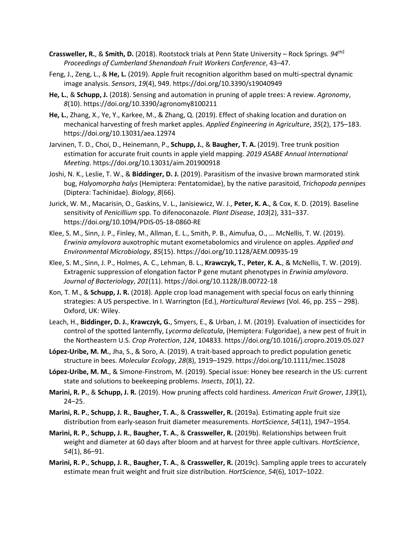- **Crassweller, R.**, & **Smith, D.** (2018). Rootstock trials at Penn State University Rock Springs. *94th\$ Proceedings of Cumberland Shenandoah Fruit Workers Conference*, 43–47.
- Feng, J., Zeng, L., & **He, L.** (2019). Apple fruit recognition algorithm based on multi-spectral dynamic image analysis. *Sensors*, *19*(4), 949. https://doi.org/10.3390/s19040949
- **He, L.**, & **Schupp, J.** (2018). Sensing and automation in pruning of apple trees: A review. *Agronomy*, *8*(10). https://doi.org/10.3390/agronomy8100211
- **He, L.**, Zhang, X., Ye, Y., Karkee, M., & Zhang, Q. (2019). Effect of shaking location and duration on mechanical harvesting of fresh market apples. *Applied Engineering in Agriculture*, *35*(2), 175–183. https://doi.org/10.13031/aea.12974
- Jarvinen, T. D., Choi, D., Heinemann, P., **Schupp, J.**, & **Baugher, T. A.** (2019). Tree trunk position estimation for accurate fruit counts in apple yield mapping. *2019 ASABE Annual International Meeting*. https://doi.org/10.13031/aim.201900918
- Joshi, N. K., Leslie, T. W., & **Biddinger, D. J.** (2019). Parasitism of the invasive brown marmorated stink bug, *Halyomorpha halys* (Hemiptera: Pentatomidae), by the native parasitoid, *Trichopoda pennipes* (Diptera: Tachinidae). *Biology*, *8*(66).
- Jurick, W. M., Macarisin, O., Gaskins, V. L., Janisiewicz, W. J., **Peter, K. A.**, & Cox, K. D. (2019). Baseline sensitivity of *Penicillium* spp. To difenoconazole. *Plant Disease*, *103*(2), 331–337. https://doi.org/10.1094/PDIS-05-18-0860-RE
- Klee, S. M., Sinn, J. P., Finley, M., Allman, E. L., Smith, P. B., Aimufua, O., … McNellis, T. W. (2019). *Erwinia amylovora* auxotrophic mutant exometabolomics and virulence on apples. *Applied and Environmental Microbiology*, *85*(15). https://doi.org/10.1128/AEM.00935-19
- Klee, S. M., Sinn, J. P., Holmes, A. C., Lehman, B. L., **Krawczyk, T.**, **Peter, K. A.**, & McNellis, T. W. (2019). Extragenic suppression of elongation factor P gene mutant phenotypes in *Erwinia amylovora*. *Journal of Bacteriology*, *201*(11). https://doi.org/10.1128/JB.00722-18
- Kon, T. M., & **Schupp, J. R.** (2018). Apple crop load management with special focus on early thinning strategies: A US perspective. In I. Warrington (Ed.), *Horticultural Reviews* (Vol. 46, pp. 255 – 298). Oxford, UK: Wiley.
- Leach, H., **Biddinger, D. J.**, **Krawczyk, G.**, Smyers, E., & Urban, J. M. (2019). Evaluation of insecticides for control of the spotted lanternfly, *Lycorma delicatula*, (Hemiptera: Fulgoridae), a new pest of fruit in the Northeastern U.S. *Crop Protection*, *124*, 104833. https://doi.org/10.1016/j.cropro.2019.05.027
- **López-Uribe, M. M.**, Jha, S., & Soro, A. (2019). A trait-based approach to predict population genetic structure in bees. *Molecular Ecology*, *28*(8), 1919–1929. https://doi.org/10.1111/mec.15028
- **López-Uribe, M. M.**, & Simone-Finstrom, M. (2019). Special issue: Honey bee research in the US: current state and solutions to beekeeping problems. *Insects*, *10*(1), 22.
- **Marini, R. P.**, & **Schupp, J. R.** (2019). How pruning affects cold hardiness. *American Fruit Grower*, *139*(1), 24–25.
- **Marini, R. P.**, **Schupp, J. R.**, **Baugher, T. A.**, & **Crassweller, R.** (2019a). Estimating apple fruit size distribution from early-season fruit diameter measurements. *HortScience*, *54*(11), 1947–1954.
- **Marini, R. P.**, **Schupp, J. R.**, **Baugher, T. A.**, & **Crassweller, R.** (2019b). Relationships between fruit weight and diameter at 60 days after bloom and at harvest for three apple cultivars. *HortScience*, *54*(1), 86–91.
- **Marini, R. P.**, **Schupp, J. R.**, **Baugher, T. A.**, & **Crassweller, R.** (2019c). Sampling apple trees to accurately estimate mean fruit weight and fruit size distribution. *HortScience*, *54*(6), 1017–1022.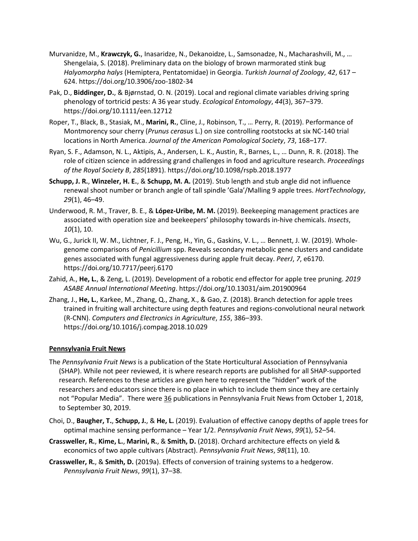- Murvanidze, M., **Krawczyk, G.**, Inasaridze, N., Dekanoidze, L., Samsonadze, N., Macharashvili, M., … Shengelaia, S. (2018). Preliminary data on the biology of brown marmorated stink bug *Halyomorpha halys* (Hemiptera, Pentatomidae) in Georgia. *Turkish Journal of Zoology*, *42*, 617 – 624. https://doi.org/10.3906/zoo-1802-34
- Pak, D., **Biddinger, D.**, & Bjørnstad, O. N. (2019). Local and regional climate variables driving spring phenology of tortricid pests: A 36 year study. *Ecological Entomology*, *44*(3), 367–379. https://doi.org/10.1111/een.12712
- Roper, T., Black, B., Stasiak, M., **Marini, R.**, Cline, J., Robinson, T., … Perry, R. (2019). Performance of Montmorency sour cherry (*Prunus cerasus* L.) on size controlling rootstocks at six NC-140 trial locations in North America. *Journal of the American Pomological Society*, *73*, 168–177.
- Ryan, S. F., Adamson, N. L., Aktipis, A., Andersen, L. K., Austin, R., Barnes, L., … Dunn, R. R. (2018). The role of citizen science in addressing grand challenges in food and agriculture research. *Proceedings of the Royal Society B*, *285*(1891). https://doi.org/10.1098/rspb.2018.1977
- **Schupp, J. R.**, **Winzeler, H. E.**, & **Schupp, M. A.** (2019). Stub length and stub angle did not influence renewal shoot number or branch angle of tall spindle 'Gala'/Malling 9 apple trees. *HortTechnology*, *29*(1), 46–49.
- Underwood, R. M., Traver, B. E., & **López-Uribe, M. M.** (2019). Beekeeping management practices are associated with operation size and beekeepers' philosophy towards in-hive chemicals. *Insects*, *10*(1), 10.
- Wu, G., Jurick II, W. M., Lichtner, F. J., Peng, H., Yin, G., Gaskins, V. L., … Bennett, J. W. (2019). Wholegenome comparisons of *Penicillium* spp. Reveals secondary metabolic gene clusters and candidate genes associated with fungal aggressiveness during apple fruit decay. *PeerJ*, *7*, e6170. https://doi.org/10.7717/peerj.6170
- Zahid, A., **He, L.**, & Zeng, L. (2019). Development of a robotic end effector for apple tree pruning. *2019 ASABE Annual International Meeting*. https://doi.org/10.13031/aim.201900964
- Zhang, J., **He, L.**, Karkee, M., Zhang, Q., Zhang, X., & Gao, Z. (2018). Branch detection for apple trees trained in fruiting wall architecture using depth features and regions-convolutional neural network (R-CNN). *Computers and Electronics in Agriculture*, *155*, 386–393. https://doi.org/10.1016/j.compag.2018.10.029

# **Pennsylvania Fruit News**

- The *Pennsylvania Fruit News* is a publication of the State Horticultural Association of Pennsylvania (SHAP). While not peer reviewed, it is where research reports are published for all SHAP-supported research. References to these articles are given here to represent the "hidden" work of the researchers and educators since there is no place in which to include them since they are certainly not "Popular Media". There were 36 publications in Pennsylvania Fruit News from October 1, 2018, to September 30, 2019.
- Choi, D., **Baugher, T.**, **Schupp, J.**, & **He, L.** (2019). Evaluation of effective canopy depths of apple trees for optimal machine sensing performance – Year 1/2. *Pennsylvania Fruit News*, *99*(1), 52–54.
- **Crassweller, R.**, **Kime, L.**, **Marini, R.**, & **Smith, D.** (2018). Orchard architecture effects on yield & economics of two apple cultivars (Abstract). *Pennsylvania Fruit News*, *98*(11), 10.
- **Crassweller, R.**, & **Smith, D.** (2019a). Effects of conversion of training systems to a hedgerow. *Pennsylvania Fruit News*, *99*(1), 37–38.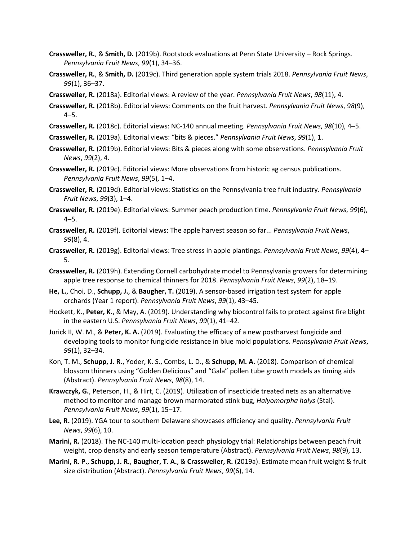- **Crassweller, R.**, & **Smith, D.** (2019b). Rootstock evaluations at Penn State University Rock Springs. *Pennsylvania Fruit News*, *99*(1), 34–36.
- **Crassweller, R.**, & **Smith, D.** (2019c). Third generation apple system trials 2018. *Pennsylvania Fruit News*, *99*(1), 36–37.
- **Crassweller, R.** (2018a). Editorial views: A review of the year. *Pennsylvania Fruit News*, *98*(11), 4.
- **Crassweller, R.** (2018b). Editorial views: Comments on the fruit harvest. *Pennsylvania Fruit News*, *98*(9),  $4 - 5$ .
- **Crassweller, R.** (2018c). Editorial views: NC-140 annual meeting. *Pennsylvania Fruit News*, *98*(10), 4–5.
- **Crassweller, R.** (2019a). Editorial views: "bits & pieces." *Pennsylvania Fruit News*, *99*(1), 1.
- **Crassweller, R.** (2019b). Editorial views: Bits & pieces along with some observations. *Pennsylvania Fruit News*, *99*(2), 4.
- **Crassweller, R.** (2019c). Editorial views: More observations from historic ag census publications. *Pennsylvania Fruit News*, *99*(5), 1–4.
- **Crassweller, R.** (2019d). Editorial views: Statistics on the Pennsylvania tree fruit industry. *Pennsylvania Fruit News*, *99*(3), 1–4.
- **Crassweller, R.** (2019e). Editorial views: Summer peach production time. *Pennsylvania Fruit News*, *99*(6),  $4 - 5.$
- **Crassweller, R.** (2019f). Editorial views: The apple harvest season so far... *Pennsylvania Fruit News*, *99*(8), 4.
- **Crassweller, R.** (2019g). Editorial views: Tree stress in apple plantings. *Pennsylvania Fruit News*, *99*(4), 4– 5.
- **Crassweller, R.** (2019h). Extending Cornell carbohydrate model to Pennsylvania growers for determining apple tree response to chemical thinners for 2018. *Pennsylvania Fruit News*, *99*(2), 18–19.
- **He, L.**, Choi, D., **Schupp, J.**, & **Baugher, T.** (2019). A sensor-based irrigation test system for apple orchards (Year 1 report). *Pennsylvania Fruit News*, *99*(1), 43–45.
- Hockett, K., **Peter, K.**, & May, A. (2019). Understanding why biocontrol fails to protect against fire blight in the eastern U.S. *Pennsylvania Fruit News*, *99*(1), 41–42.
- Jurick II, W. M., & **Peter, K. A.** (2019). Evaluating the efficacy of a new postharvest fungicide and developing tools to monitor fungicide resistance in blue mold populations. *Pennsylvania Fruit News*, *99*(1), 32–34.
- Kon, T. M., **Schupp, J. R.**, Yoder, K. S., Combs, L. D., & **Schupp, M. A.** (2018). Comparison of chemical blossom thinners using "Golden Delicious" and "Gala" pollen tube growth models as timing aids (Abstract). *Pennsylvania Fruit News*, *98*(8), 14.
- **Krawczyk, G.**, Peterson, H., & Hirt, C. (2019). Utilization of insecticide treated nets as an alternative method to monitor and manage brown marmorated stink bug, *Halyomorpha halys* (Stal). *Pennsylvania Fruit News*, *99*(1), 15–17.
- **Lee, R.** (2019). YGA tour to southern Delaware showcases efficiency and quality. *Pennsylvania Fruit News*, *99*(6), 10.
- **Marini, R.** (2018). The NC-140 multi-location peach physiology trial: Relationships between peach fruit weight, crop density and early season temperature (Abstract). *Pennsylvania Fruit News*, *98*(9), 13.
- **Marini, R. P.**, **Schupp, J. R.**, **Baugher, T. A.**, & **Crassweller, R.** (2019a). Estimate mean fruit weight & fruit size distribution (Abstract). *Pennsylvania Fruit News*, *99*(6), 14.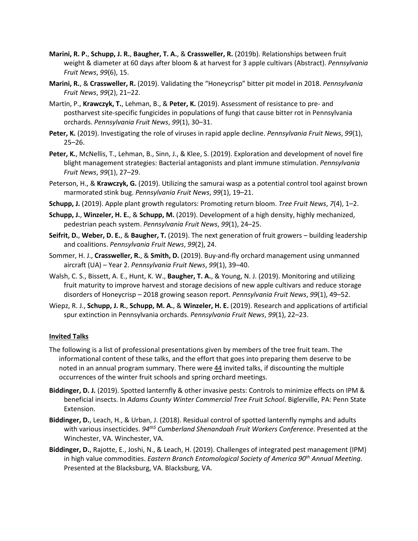- **Marini, R. P.**, **Schupp, J. R.**, **Baugher, T. A.**, & **Crassweller, R.** (2019b). Relationships between fruit weight & diameter at 60 days after bloom & at harvest for 3 apple cultivars (Abstract). *Pennsylvania Fruit News*, *99*(6), 15.
- **Marini, R.**, & **Crassweller, R.** (2019). Validating the "Honeycrisp" bitter pit model in 2018. *Pennsylvania Fruit News*, *99*(2), 21–22.
- Martin, P., **Krawczyk, T.**, Lehman, B., & **Peter, K.** (2019). Assessment of resistance to pre- and postharvest site-specific fungicides in populations of fungi that cause bitter rot in Pennsylvania orchards. *Pennsylvania Fruit News*, *99*(1), 30–31.
- **Peter, K.** (2019). Investigating the role of viruses in rapid apple decline. *Pennsylvania Fruit News*, *99*(1), 25–26.
- **Peter, K.**, McNellis, T., Lehman, B., Sinn, J., & Klee, S. (2019). Exploration and development of novel fire blight management strategies: Bacterial antagonists and plant immune stimulation. *Pennsylvania Fruit News*, *99*(1), 27–29.
- Peterson, H., & **Krawczyk, G.** (2019). Utilizing the samurai wasp as a potential control tool against brown marmorated stink bug. *Pennsylvania Fruit News*, *99*(1), 19–21.
- **Schupp, J.** (2019). Apple plant growth regulators: Promoting return bloom. *Tree Fruit News*, *7*(4), 1–2.
- **Schupp, J.**, **Winzeler, H. E.**, & **Schupp, M.** (2019). Development of a high density, highly mechanized, pedestrian peach system. *Pennsylvania Fruit News*, *99*(1), 24–25.
- **Seifrit, D.**, **Weber, D. E.**, & **Baugher, T.** (2019). The next generation of fruit growers building leadership and coalitions. *Pennsylvania Fruit News*, *99*(2), 24.
- Sommer, H. J., **Crassweller, R.**, & **Smith, D.** (2019). Buy-and-fly orchard management using unmanned aircraft (UA) – Year 2. *Pennsylvania Fruit News*, *99*(1), 39–40.
- Walsh, C. S., Bissett, A. E., Hunt, K. W., **Baugher, T. A.**, & Young, N. J. (2019). Monitoring and utilizing fruit maturity to improve harvest and storage decisions of new apple cultivars and reduce storage disorders of Honeycrisp – 2018 growing season report. *Pennsylvania Fruit News*, *99*(1), 49–52.
- Wiepz, R. J., **Schupp, J. R.**, **Schupp, M. A.**, & **Winzeler, H. E.** (2019). Research and applications of artificial spur extinction in Pennsylvania orchards. *Pennsylvania Fruit News*, *99*(1), 22–23.

# **Invited Talks**

- The following is a list of professional presentations given by members of the tree fruit team. The informational content of these talks, and the effort that goes into preparing them deserve to be noted in an annual program summary. There were 44 invited talks, if discounting the multiple occurrences of the winter fruit schools and spring orchard meetings.
- **Biddinger, D. J.** (2019). Spotted lanternfly & other invasive pests: Controls to minimize effects on IPM & beneficial insects. In *Adams County Winter Commercial Tree Fruit School*. Biglerville, PA: Penn State Extension.
- **Biddinger, D.**, Leach, H., & Urban, J. (2018). Residual control of spotted lanternfly nymphs and adults with various insecticides. *94th\$ Cumberland Shenandoah Fruit Workers Conference*. Presented at the Winchester, VA. Winchester, VA.
- **Biddinger, D.**, Rajotte, E., Joshi, N., & Leach, H. (2019). Challenges of integrated pest management (IPM) in high value commodities. *Eastern Branch Entomological Society of America 90th Annual Meeting*. Presented at the Blacksburg, VA. Blacksburg, VA.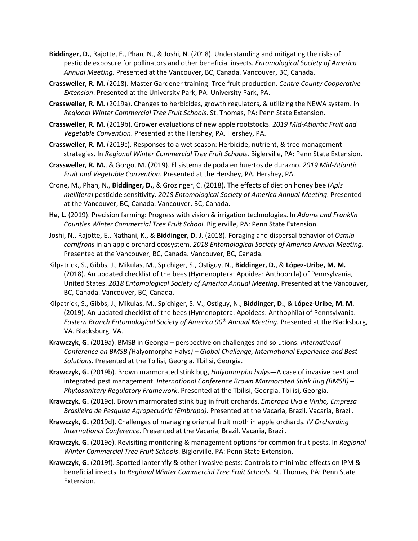- **Biddinger, D.**, Rajotte, E., Phan, N., & Joshi, N. (2018). Understanding and mitigating the risks of pesticide exposure for pollinators and other beneficial insects. *Entomological Society of America Annual Meeting*. Presented at the Vancouver, BC, Canada. Vancouver, BC, Canada.
- **Crassweller, R. M.** (2018). Master Gardener training: Tree fruit production. *Centre County Cooperative Extension*. Presented at the University Park, PA. University Park, PA.
- **Crassweller, R. M.** (2019a). Changes to herbicides, growth regulators, & utilizing the NEWA system. In *Regional Winter Commercial Tree Fruit Schools*. St. Thomas, PA: Penn State Extension.
- **Crassweller, R. M.** (2019b). Grower evaluations of new apple rootstocks. *2019 Mid-Atlantic Fruit and Vegetable Convention*. Presented at the Hershey, PA. Hershey, PA.
- **Crassweller, R. M.** (2019c). Responses to a wet season: Herbicide, nutrient, & tree management strategies. In *Regional Winter Commercial Tree Fruit Schools*. Biglerville, PA: Penn State Extension.
- **Crassweller, R. M.**, & Gorgo, M. (2019). El sistema de poda en huertos de durazno. *2019 Mid-Atlantic Fruit and Vegetable Convention*. Presented at the Hershey, PA. Hershey, PA.
- Crone, M., Phan, N., **Biddinger, D.**, & Grozinger, C. (2018). The effects of diet on honey bee (*Apis mellifera*) pesticide sensitivity. *2018 Entomological Society of America Annual Meeting*. Presented at the Vancouver, BC, Canada. Vancouver, BC, Canada.
- **He, L.** (2019). Precision farming: Progress with vision & irrigation technologies. In *Adams and Franklin Counties Winter Commercial Tree Fruit School*. Biglerville, PA: Penn State Extension.
- Joshi, N., Rajotte, E., Nathani, K., & **Biddinger, D. J.** (2018). Foraging and dispersal behavior of *Osmia cornifrons* in an apple orchard ecosystem. *2018 Entomological Society of America Annual Meeting*. Presented at the Vancouver, BC, Canada. Vancouver, BC, Canada.
- Kilpatrick, S., Gibbs, J., Mikulas, M., Spichiger, S., Ostiguy, N., **Biddinger, D.**, & **López-Uribe, M. M.** (2018). An updated checklist of the bees (Hymenoptera: Apoidea: Anthophila) of Pennsylvania, United States. *2018 Entomological Society of America Annual Meeting*. Presented at the Vancouver, BC, Canada. Vancouver, BC, Canada.
- Kilpatrick, S., Gibbs, J., Mikulas, M., Spichiger, S.-V., Ostiguy, N., **Biddinger, D.**, & **López-Uribe, M. M.** (2019). An updated checklist of the bees (Hymenoptera: Apoideas: Anthophila) of Pennsylvania. *Eastern Branch Entomological Society of America 90th Annual Meeting*. Presented at the Blacksburg, VA. Blacksburg, VA.
- **Krawczyk, G.** (2019a). BMSB in Georgia perspective on challenges and solutions. *International Conference on BMSB (*Halyomorpha Halys*) – Global Challenge, International Experience and Best Solutions*. Presented at the Tbilisi, Georgia. Tbilisi, Georgia.
- **Krawczyk, G.** (2019b). Brown marmorated stink bug, *Halyomorpha halys*—A case of invasive pest and integrated pest management. *International Conference Brown Marmorated Stink Bug (BMSB) – Phytosanitary Regulatory Framework*. Presented at the Tbilisi, Georgia. Tbilisi, Georgia.
- **Krawczyk, G.** (2019c). Brown marmorated stink bug in fruit orchards. *Embrapa Uva e Vinho, Empresa Brasileira de Pesquisa Agropecuária (Embrapa)*. Presented at the Vacaria, Brazil. Vacaria, Brazil.
- **Krawczyk, G.** (2019d). Challenges of managing oriental fruit moth in apple orchards. *IV Orcharding International Conference*. Presented at the Vacaria, Brazil. Vacaria, Brazil.
- **Krawczyk, G.** (2019e). Revisiting monitoring & management options for common fruit pests. In *Regional Winter Commercial Tree Fruit Schools*. Biglerville, PA: Penn State Extension.
- **Krawczyk, G.** (2019f). Spotted lanternfly & other invasive pests: Controls to minimize effects on IPM & beneficial insects. In *Regional Winter Commercial Tree Fruit Schools*. St. Thomas, PA: Penn State Extension.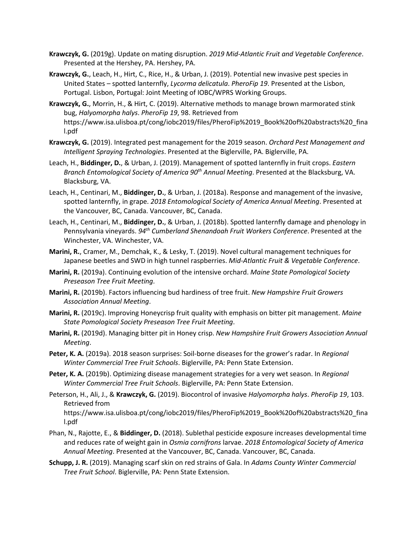- **Krawczyk, G.** (2019g). Update on mating disruption. *2019 Mid-Atlantic Fruit and Vegetable Conference*. Presented at the Hershey, PA. Hershey, PA.
- **Krawczyk, G.**, Leach, H., Hirt, C., Rice, H., & Urban, J. (2019). Potential new invasive pest species in United States – spotted lanternfly, *Lycorma delicatula*. *PheroFip 19*. Presented at the Lisbon, Portugal. Lisbon, Portugal: Joint Meeting of IOBC/WPRS Working Groups.
- **Krawczyk, G.**, Morrin, H., & Hirt, C. (2019). Alternative methods to manage brown marmorated stink bug, *Halyomorpha halys*. *PheroFip 19*, 98. Retrieved from https://www.isa.ulisboa.pt/cong/iobc2019/files/PheroFip%2019\_Book%20of%20abstracts%20\_fina l.pdf
- **Krawczyk, G.** (2019). Integrated pest management for the 2019 season. *Orchard Pest Management and Intelligent Spraying Technologies*. Presented at the Biglerville, PA. Biglerville, PA.
- Leach, H., **Biddinger, D.**, & Urban, J. (2019). Management of spotted lanternfly in fruit crops. *Eastern Branch Entomological Society of America 90th Annual Meeting*. Presented at the Blacksburg, VA. Blacksburg, VA.
- Leach, H., Centinari, M., **Biddinger, D.**, & Urban, J. (2018a). Response and management of the invasive, spotted lanternfly, in grape. *2018 Entomological Society of America Annual Meeting*. Presented at the Vancouver, BC, Canada. Vancouver, BC, Canada.
- Leach, H., Centinari, M., **Biddinger, D.**, & Urban, J. (2018b). Spotted lanternfly damage and phenology in Pennsylvania vineyards. *94th Cumberland Shenandoah Fruit Workers Conference*. Presented at the Winchester, VA. Winchester, VA.
- **Marini, R.**, Cramer, M., Demchak, K., & Lesky, T. (2019). Novel cultural management techniques for Japanese beetles and SWD in high tunnel raspberries. *Mid-Atlantic Fruit & Vegetable Conference*.
- **Marini, R.** (2019a). Continuing evolution of the intensive orchard. *Maine State Pomological Society Preseason Tree Fruit Meeting*.
- **Marini, R.** (2019b). Factors influencing bud hardiness of tree fruit. *New Hampshire Fruit Growers Association Annual Meeting*.
- **Marini, R.** (2019c). Improving Honeycrisp fruit quality with emphasis on bitter pit management. *Maine State Pomological Society Preseason Tree Fruit Meeting*.
- **Marini, R.** (2019d). Managing bitter pit in Honey crisp. *New Hampshire Fruit Growers Association Annual Meeting*.
- **Peter, K. A.** (2019a). 2018 season surprises: Soil-borne diseases for the grower's radar. In *Regional Winter Commercial Tree Fruit Schools*. Biglerville, PA: Penn State Extension.
- **Peter, K. A.** (2019b). Optimizing disease management strategies for a very wet season. In *Regional Winter Commercial Tree Fruit Schools*. Biglerville, PA: Penn State Extension.
- Peterson, H., Ali, J., & **Krawczyk, G.** (2019). Biocontrol of invasive *Halyomorpha halys*. *PheroFip 19*, 103. Retrieved from

https://www.isa.ulisboa.pt/cong/iobc2019/files/PheroFip%2019\_Book%20of%20abstracts%20\_fina l.pdf

- Phan, N., Rajotte, E., & **Biddinger, D.** (2018). Sublethal pesticide exposure increases developmental time and reduces rate of weight gain in *Osmia cornifrons* larvae. *2018 Entomological Society of America Annual Meeting*. Presented at the Vancouver, BC, Canada. Vancouver, BC, Canada.
- **Schupp, J. R.** (2019). Managing scarf skin on red strains of Gala. In *Adams County Winter Commercial Tree Fruit School*. Biglerville, PA: Penn State Extension.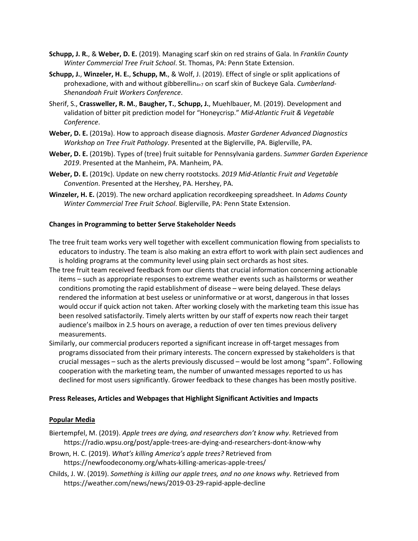- **Schupp, J. R.**, & **Weber, D. E.** (2019). Managing scarf skin on red strains of Gala. In *Franklin County Winter Commercial Tree Fruit School*. St. Thomas, PA: Penn State Extension.
- **Schupp, J.**, **Winzeler, H. E.**, **Schupp, M.**, & Wolf, J. (2019). Effect of single or split applications of prohexadione, with and without gibberellin<sub>4+7</sub> on scarf skin of Buckeye Gala. *Cumberland-Shenandoah Fruit Workers Conference*.
- Sherif, S., **Crassweller, R. M.**, **Baugher, T.**, **Schupp, J.**, Muehlbauer, M. (2019). Development and validation of bitter pit prediction model for "Honeycrisp." *Mid-Atlantic Fruit & Vegetable Conference*.
- **Weber, D. E.** (2019a). How to approach disease diagnosis. *Master Gardener Advanced Diagnostics Workshop on Tree Fruit Pathology*. Presented at the Biglerville, PA. Biglerville, PA.
- **Weber, D. E.** (2019b). Types of (tree) fruit suitable for Pennsylvania gardens. *Summer Garden Experience 2019*. Presented at the Manheim, PA. Manheim, PA.
- **Weber, D. E.** (2019c). Update on new cherry rootstocks. *2019 Mid-Atlantic Fruit and Vegetable Convention*. Presented at the Hershey, PA. Hershey, PA.
- **Winzeler, H. E.** (2019). The new orchard application recordkeeping spreadsheet. In *Adams County Winter Commercial Tree Fruit School*. Biglerville, PA: Penn State Extension.

# **Changes in Programming to better Serve Stakeholder Needs**

- The tree fruit team works very well together with excellent communication flowing from specialists to educators to industry. The team is also making an extra effort to work with plain sect audiences and is holding programs at the community level using plain sect orchards as host sites.
- The tree fruit team received feedback from our clients that crucial information concerning actionable items – such as appropriate responses to extreme weather events such as hailstorms or weather conditions promoting the rapid establishment of disease – were being delayed. These delays rendered the information at best useless or uninformative or at worst, dangerous in that losses would occur if quick action not taken. After working closely with the marketing team this issue has been resolved satisfactorily. Timely alerts written by our staff of experts now reach their target audience's mailbox in 2.5 hours on average, a reduction of over ten times previous delivery measurements.
- Similarly, our commercial producers reported a significant increase in off-target messages from programs dissociated from their primary interests. The concern expressed by stakeholders is that crucial messages – such as the alerts previously discussed – would be lost among "spam". Following cooperation with the marketing team, the number of unwanted messages reported to us has declined for most users significantly. Grower feedback to these changes has been mostly positive.

## **Press Releases, Articles and Webpages that Highlight Significant Activities and Impacts**

## **Popular Media**

- Biertempfel, M. (2019). *Apple trees are dying, and researchers don't know why*. Retrieved from https://radio.wpsu.org/post/apple-trees-are-dying-and-researchers-dont-know-why
- Brown, H. C. (2019). *What's killing America's apple trees?* Retrieved from https://newfoodeconomy.org/whats-killing-americas-apple-trees/
- Childs, J. W. (2019). *Something is killing our apple trees, and no one knows why*. Retrieved from https://weather.com/news/news/2019-03-29-rapid-apple-decline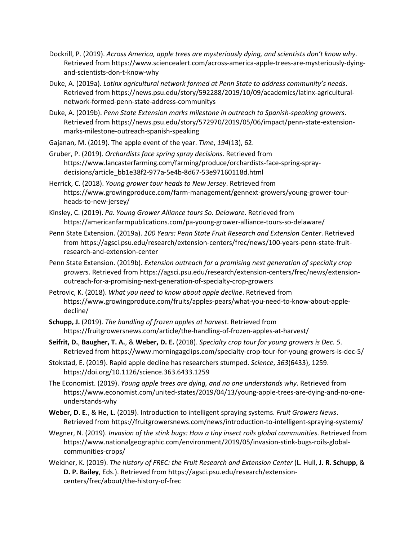- Dockrill, P. (2019). *Across America, apple trees are mysteriously dying, and scientists don't know why*. Retrieved from https://www.sciencealert.com/across-america-apple-trees-are-mysteriously-dyingand-scientists-don-t-know-why
- Duke, A. (2019a). *Latinx agricultural network formed at Penn State to address community's needs*. Retrieved from https://news.psu.edu/story/592288/2019/10/09/academics/latinx-agriculturalnetwork-formed-penn-state-address-communitys
- Duke, A. (2019b). *Penn State Extension marks milestone in outreach to Spanish-speaking growers*. Retrieved from https://news.psu.edu/story/572970/2019/05/06/impact/penn-state-extensionmarks-milestone-outreach-spanish-speaking
- Gajanan, M. (2019). The apple event of the year. *Time*, *194*(13), 62.
- Gruber, P. (2019). *Orchardists face spring spray decisions*. Retrieved from https://www.lancasterfarming.com/farming/produce/orchardists-face-spring-spraydecisions/article\_bb1e38f2-977a-5e4b-8d67-53e97160118d.html
- Herrick, C. (2018). *Young grower tour heads to New Jersey*. Retrieved from https://www.growingproduce.com/farm-management/gennext-growers/young-grower-tourheads-to-new-jersey/
- Kinsley, C. (2019). *Pa. Young Grower Alliance tours So. Delaware*. Retrieved from https://americanfarmpublications.com/pa-young-grower-alliance-tours-so-delaware/
- Penn State Extension. (2019a). *100 Years: Penn State Fruit Research and Extension Center*. Retrieved from https://agsci.psu.edu/research/extension-centers/frec/news/100-years-penn-state-fruitresearch-and-extension-center
- Penn State Extension. (2019b). *Extension outreach for a promising next generation of specialty crop growers*. Retrieved from https://agsci.psu.edu/research/extension-centers/frec/news/extensionoutreach-for-a-promising-next-generation-of-specialty-crop-growers
- Petrovic, K. (2018). *What you need to know about apple decline*. Retrieved from https://www.growingproduce.com/fruits/apples-pears/what-you-need-to-know-about-appledecline/
- **Schupp, J.** (2019). *The handling of frozen apples at harvest*. Retrieved from https://fruitgrowersnews.com/article/the-handling-of-frozen-apples-at-harvest/
- **Seifrit, D.**, **Baugher, T. A.**, & **Weber, D. E.** (2018). *Specialty crop tour for young growers is Dec. 5*. Retrieved from https://www.morningagclips.com/specialty-crop-tour-for-young-growers-is-dec-5/
- Stokstad, E. (2019). Rapid apple decline has researchers stumped. *Science*, *363*(6433), 1259. https://doi.org/10.1126/science.363.6433.1259
- The Economist. (2019). *Young apple trees are dying, and no one understands why*. Retrieved from https://www.economist.com/united-states/2019/04/13/young-apple-trees-are-dying-and-no-oneunderstands-why
- **Weber, D. E.**, & **He, L.** (2019). Introduction to intelligent spraying systems. *Fruit Growers News*. Retrieved from https://fruitgrowersnews.com/news/introduction-to-intelligent-spraying-systems/
- Wegner, N. (2019). *Invasion of the stink bugs: How a tiny insect roils global communities*. Retrieved from https://www.nationalgeographic.com/environment/2019/05/invasion-stink-bugs-roils-globalcommunities-crops/
- Weidner, K. (2019). *The history of FREC: the Fruit Research and Extension Center* (L. Hull, **J. R. Schupp**, & **D. P. Bailey**, Eds.). Retrieved from https://agsci.psu.edu/research/extensioncenters/frec/about/the-history-of-frec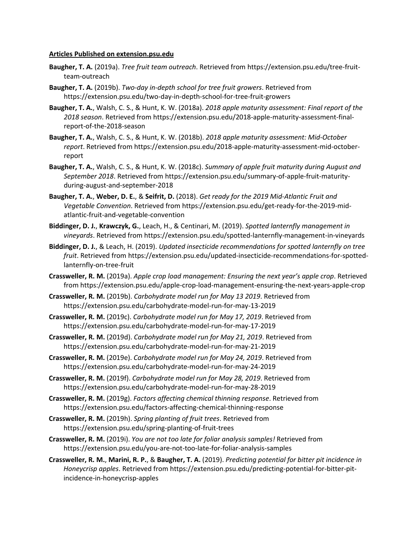#### **Articles Published on extension.psu.edu**

- **Baugher, T. A.** (2019a). *Tree fruit team outreach*. Retrieved from https://extension.psu.edu/tree-fruitteam-outreach
- **Baugher, T. A.** (2019b). *Two-day in-depth school for tree fruit growers*. Retrieved from https://extension.psu.edu/two-day-in-depth-school-for-tree-fruit-growers
- **Baugher, T. A.**, Walsh, C. S., & Hunt, K. W. (2018a). *2018 apple maturity assessment: Final report of the 2018 season*. Retrieved from https://extension.psu.edu/2018-apple-maturity-assessment-finalreport-of-the-2018-season
- **Baugher, T. A.**, Walsh, C. S., & Hunt, K. W. (2018b). *2018 apple maturity assessment: Mid-October report*. Retrieved from https://extension.psu.edu/2018-apple-maturity-assessment-mid-octoberreport
- **Baugher, T. A.**, Walsh, C. S., & Hunt, K. W. (2018c). *Summary of apple fruit maturity during August and September 2018*. Retrieved from https://extension.psu.edu/summary-of-apple-fruit-maturityduring-august-and-september-2018
- **Baugher, T. A.**, **Weber, D. E.**, & **Seifrit, D.** (2018). *Get ready for the 2019 Mid-Atlantic Fruit and Vegetable Convention*. Retrieved from https://extension.psu.edu/get-ready-for-the-2019-midatlantic-fruit-and-vegetable-convention
- **Biddinger, D. J.**, **Krawczyk, G.**, Leach, H., & Centinari, M. (2019). *Spotted lanternfly management in vineyards*. Retrieved from https://extension.psu.edu/spotted-lanternfly-management-in-vineyards
- **Biddinger, D. J.**, & Leach, H. (2019). *Updated insecticide recommendations for spotted lanternfly on tree fruit*. Retrieved from https://extension.psu.edu/updated-insecticide-recommendations-for-spottedlanternfly-on-tree-fruit
- **Crassweller, R. M.** (2019a). *Apple crop load management: Ensuring the next year's apple crop*. Retrieved from https://extension.psu.edu/apple-crop-load-management-ensuring-the-next-years-apple-crop
- **Crassweller, R. M.** (2019b). *Carbohydrate model run for May 13 2019*. Retrieved from https://extension.psu.edu/carbohydrate-model-run-for-may-13-2019
- **Crassweller, R. M.** (2019c). *Carbohydrate model run for May 17, 2019*. Retrieved from https://extension.psu.edu/carbohydrate-model-run-for-may-17-2019
- **Crassweller, R. M.** (2019d). *Carbohydrate model run for May 21, 2019*. Retrieved from https://extension.psu.edu/carbohydrate-model-run-for-may-21-2019
- **Crassweller, R. M.** (2019e). *Carbohydrate model run for May 24, 2019*. Retrieved from https://extension.psu.edu/carbohydrate-model-run-for-may-24-2019
- **Crassweller, R. M.** (2019f). *Carbohydrate model run for May 28, 2019*. Retrieved from https://extension.psu.edu/carbohydrate-model-run-for-may-28-2019
- **Crassweller, R. M.** (2019g). *Factors affecting chemical thinning response*. Retrieved from https://extension.psu.edu/factors-affecting-chemical-thinning-response
- **Crassweller, R. M.** (2019h). *Spring planting of fruit trees*. Retrieved from https://extension.psu.edu/spring-planting-of-fruit-trees
- **Crassweller, R. M.** (2019i). *You are not too late for foliar analysis samples!* Retrieved from https://extension.psu.edu/you-are-not-too-late-for-foliar-analysis-samples
- **Crassweller, R. M.**, **Marini, R. P.**, & **Baugher, T. A.** (2019). *Predicting potential for bitter pit incidence in Honeycrisp apples*. Retrieved from https://extension.psu.edu/predicting-potential-for-bitter-pitincidence-in-honeycrisp-apples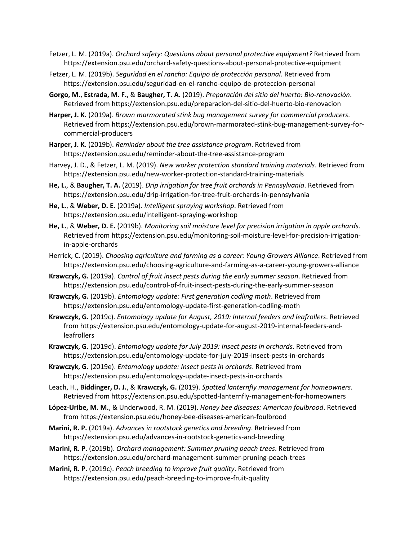- Fetzer, L. M. (2019a). *Orchard safety: Questions about personal protective equipment?* Retrieved from https://extension.psu.edu/orchard-safety-questions-about-personal-protective-equipment
- Fetzer, L. M. (2019b). *Seguridad en el rancho: Equipo de protección personal*. Retrieved from https://extension.psu.edu/seguridad-en-el-rancho-equipo-de-proteccion-personal
- **Gorgo, M.**, **Estrada, M. F.**, & **Baugher, T. A.** (2019). *Preparación del sitio del huerto: Bio-renovación*. Retrieved from https://extension.psu.edu/preparacion-del-sitio-del-huerto-bio-renovacion
- **Harper, J. K.** (2019a). *Brown marmorated stink bug management survey for commercial producers*. Retrieved from https://extension.psu.edu/brown-marmorated-stink-bug-management-survey-forcommercial-producers
- **Harper, J. K.** (2019b). *Reminder about the tree assistance program*. Retrieved from https://extension.psu.edu/reminder-about-the-tree-assistance-program
- Harvey, J. D., & Fetzer, L. M. (2019). *New worker protection standard training materials*. Retrieved from https://extension.psu.edu/new-worker-protection-standard-training-materials
- **He, L.**, & **Baugher, T. A.** (2019). *Drip irrigation for tree fruit orchards in Pennsylvania*. Retrieved from https://extension.psu.edu/drip-irrigation-for-tree-fruit-orchards-in-pennsylvania
- **He, L.**, & **Weber, D. E.** (2019a). *Intelligent spraying workshop*. Retrieved from https://extension.psu.edu/intelligent-spraying-workshop
- **He, L.**, & **Weber, D. E.** (2019b). *Monitoring soil moisture level for precision irrigation in apple orchards*. Retrieved from https://extension.psu.edu/monitoring-soil-moisture-level-for-precision-irrigationin-apple-orchards
- Herrick, C. (2019). *Choosing agriculture and farming as a career: Young Growers Alliance*. Retrieved from https://extension.psu.edu/choosing-agriculture-and-farming-as-a-career-young-growers-alliance
- **Krawczyk, G.** (2019a). *Control of fruit insect pests during the early summer season*. Retrieved from https://extension.psu.edu/control-of-fruit-insect-pests-during-the-early-summer-season
- **Krawczyk, G.** (2019b). *Entomology update: First generation codling moth*. Retrieved from https://extension.psu.edu/entomology-update-first-generation-codling-moth
- **Krawczyk, G.** (2019c). *Entomology update for August, 2019: Internal feeders and leafrollers*. Retrieved from https://extension.psu.edu/entomology-update-for-august-2019-internal-feeders-andleafrollers
- **Krawczyk, G.** (2019d). *Entomology update for July 2019: Insect pests in orchards*. Retrieved from https://extension.psu.edu/entomology-update-for-july-2019-insect-pests-in-orchards
- **Krawczyk, G.** (2019e). *Entomology update: Insect pests in orchards*. Retrieved from https://extension.psu.edu/entomology-update-insect-pests-in-orchards
- Leach, H., **Biddinger, D. J.**, & **Krawczyk, G.** (2019). *Spotted lanternfly management for homeowners*. Retrieved from https://extension.psu.edu/spotted-lanternfly-management-for-homeowners
- **López-Uribe, M. M.**, & Underwood, R. M. (2019). *Honey bee diseases: American foulbrood*. Retrieved from https://extension.psu.edu/honey-bee-diseases-american-foulbrood
- **Marini, R. P.** (2019a). *Advances in rootstock genetics and breeding*. Retrieved from https://extension.psu.edu/advances-in-rootstock-genetics-and-breeding
- **Marini, R. P.** (2019b). *Orchard management: Summer pruning peach trees*. Retrieved from https://extension.psu.edu/orchard-management-summer-pruning-peach-trees
- **Marini, R. P.** (2019c). *Peach breeding to improve fruit quality*. Retrieved from https://extension.psu.edu/peach-breeding-to-improve-fruit-quality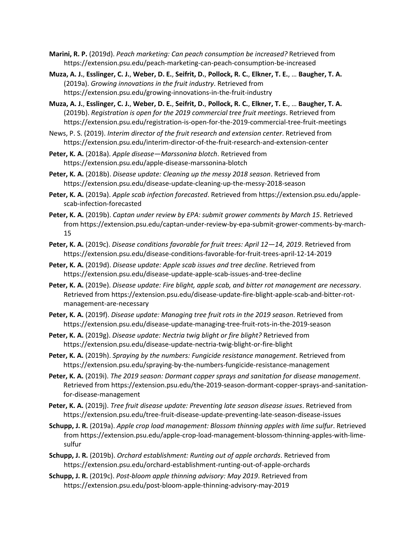- **Marini, R. P.** (2019d). *Peach marketing: Can peach consumption be increased?* Retrieved from https://extension.psu.edu/peach-marketing-can-peach-consumption-be-increased
- **Muza, A. J.**, **Esslinger, C. J.**, **Weber, D. E.**, **Seifrit, D.**, **Pollock, R. C.**, **Elkner, T. E.**, … **Baugher, T. A.** (2019a). *Growing innovations in the fruit industry*. Retrieved from https://extension.psu.edu/growing-innovations-in-the-fruit-industry
- **Muza, A. J.**, **Esslinger, C. J.**, **Weber, D. E.**, **Seifrit, D.**, **Pollock, R. C.**, **Elkner, T. E.**, … **Baugher, T. A.**  (2019b). *Registration is open for the 2019 commercial tree fruit meetings*. Retrieved from https://extension.psu.edu/registration-is-open-for-the-2019-commercial-tree-fruit-meetings
- News, P. S. (2019). *Interim director of the fruit research and extension center*. Retrieved from https://extension.psu.edu/interim-director-of-the-fruit-research-and-extension-center
- **Peter, K. A.** (2018a). *Apple disease—Marssonina blotch*. Retrieved from https://extension.psu.edu/apple-disease-marssonina-blotch
- **Peter, K. A.** (2018b). *Disease update: Cleaning up the messy 2018 season*. Retrieved from https://extension.psu.edu/disease-update-cleaning-up-the-messy-2018-season
- **Peter, K. A.** (2019a). *Apple scab infection forecasted*. Retrieved from https://extension.psu.edu/applescab-infection-forecasted
- **Peter, K. A.** (2019b). *Captan under review by EPA: submit grower comments by March 15*. Retrieved from https://extension.psu.edu/captan-under-review-by-epa-submit-grower-comments-by-march-15
- **Peter, K. A.** (2019c). *Disease conditions favorable for fruit trees: April 12—14, 2019*. Retrieved from https://extension.psu.edu/disease-conditions-favorable-for-fruit-trees-april-12-14-2019
- **Peter, K. A.** (2019d). *Disease update: Apple scab issues and tree decline*. Retrieved from https://extension.psu.edu/disease-update-apple-scab-issues-and-tree-decline
- **Peter, K. A.** (2019e). *Disease update: Fire blight, apple scab, and bitter rot management are necessary*. Retrieved from https://extension.psu.edu/disease-update-fire-blight-apple-scab-and-bitter-rotmanagement-are-necessary
- **Peter, K. A.** (2019f). *Disease update: Managing tree fruit rots in the 2019 season*. Retrieved from https://extension.psu.edu/disease-update-managing-tree-fruit-rots-in-the-2019-season
- **Peter, K. A.** (2019g). *Disease update: Nectria twig blight or fire blight?* Retrieved from https://extension.psu.edu/disease-update-nectria-twig-blight-or-fire-blight
- **Peter, K. A.** (2019h). *Spraying by the numbers: Fungicide resistance management*. Retrieved from https://extension.psu.edu/spraying-by-the-numbers-fungicide-resistance-management
- **Peter, K. A.** (2019i). *The 2019 season: Dormant copper sprays and sanitation for disease management*. Retrieved from https://extension.psu.edu/the-2019-season-dormant-copper-sprays-and-sanitationfor-disease-management
- **Peter, K. A.** (2019j). *Tree fruit disease update: Preventing late season disease issues*. Retrieved from https://extension.psu.edu/tree-fruit-disease-update-preventing-late-season-disease-issues
- **Schupp, J. R.** (2019a). *Apple crop load management: Blossom thinning apples with lime sulfur*. Retrieved from https://extension.psu.edu/apple-crop-load-management-blossom-thinning-apples-with-limesulfur
- **Schupp, J. R.** (2019b). *Orchard establishment: Runting out of apple orchards*. Retrieved from https://extension.psu.edu/orchard-establishment-runting-out-of-apple-orchards
- **Schupp, J. R.** (2019c). *Post-bloom apple thinning advisory: May 2019*. Retrieved from https://extension.psu.edu/post-bloom-apple-thinning-advisory-may-2019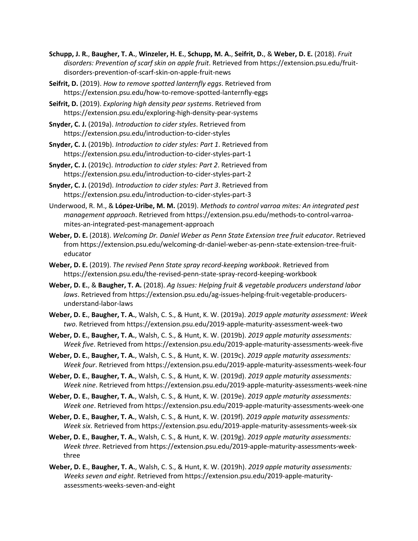- **Schupp, J. R.**, **Baugher, T. A.**, **Winzeler, H. E.**, **Schupp, M. A.**, **Seifrit, D.**, & **Weber, D. E.** (2018). *Fruit disorders: Prevention of scarf skin on apple fruit*. Retrieved from https://extension.psu.edu/fruitdisorders-prevention-of-scarf-skin-on-apple-fruit-news
- **Seifrit, D.** (2019). *How to remove spotted lanternfly eggs*. Retrieved from https://extension.psu.edu/how-to-remove-spotted-lanternfly-eggs
- **Seifrit, D.** (2019). *Exploring high density pear systems*. Retrieved from https://extension.psu.edu/exploring-high-density-pear-systems
- **Snyder, C. J.** (2019a). *Introduction to cider styles*. Retrieved from https://extension.psu.edu/introduction-to-cider-styles
- **Snyder, C. J.** (2019b). *Introduction to cider styles: Part 1*. Retrieved from https://extension.psu.edu/introduction-to-cider-styles-part-1
- **Snyder, C. J.** (2019c). *Introduction to cider styles: Part 2*. Retrieved from https://extension.psu.edu/introduction-to-cider-styles-part-2
- **Snyder, C. J.** (2019d). *Introduction to cider styles: Part 3*. Retrieved from https://extension.psu.edu/introduction-to-cider-styles-part-3
- Underwood, R. M., & **López-Uribe, M. M.** (2019). *Methods to control varroa mites: An integrated pest management approach*. Retrieved from https://extension.psu.edu/methods-to-control-varroamites-an-integrated-pest-management-approach
- **Weber, D. E.** (2018). *Welcoming Dr. Daniel Weber as Penn State Extension tree fruit educator*. Retrieved from https://extension.psu.edu/welcoming-dr-daniel-weber-as-penn-state-extension-tree-fruiteducator
- **Weber, D. E.** (2019). *The revised Penn State spray record-keeping workbook*. Retrieved from https://extension.psu.edu/the-revised-penn-state-spray-record-keeping-workbook
- **Weber, D. E.**, & **Baugher, T. A.** (2018). *Ag Issues: Helping fruit & vegetable producers understand labor laws*. Retrieved from https://extension.psu.edu/ag-issues-helping-fruit-vegetable-producersunderstand-labor-laws
- **Weber, D. E.**, **Baugher, T. A.**, Walsh, C. S., & Hunt, K. W. (2019a). *2019 apple maturity assessment: Week two*. Retrieved from https://extension.psu.edu/2019-apple-maturity-assessment-week-two
- **Weber, D. E.**, **Baugher, T. A.**, Walsh, C. S., & Hunt, K. W. (2019b). *2019 apple maturity assessments: Week five*. Retrieved from https://extension.psu.edu/2019-apple-maturity-assessments-week-five
- **Weber, D. E.**, **Baugher, T. A.**, Walsh, C. S., & Hunt, K. W. (2019c). *2019 apple maturity assessments: Week four*. Retrieved from https://extension.psu.edu/2019-apple-maturity-assessments-week-four
- **Weber, D. E.**, **Baugher, T. A.**, Walsh, C. S., & Hunt, K. W. (2019d). *2019 apple maturity assessments: Week nine*. Retrieved from https://extension.psu.edu/2019-apple-maturity-assessments-week-nine
- **Weber, D. E.**, **Baugher, T. A.**, Walsh, C. S., & Hunt, K. W. (2019e). *2019 apple maturity assessments: Week one*. Retrieved from https://extension.psu.edu/2019-apple-maturity-assessments-week-one
- **Weber, D. E.**, **Baugher, T. A.**, Walsh, C. S., & Hunt, K. W. (2019f). *2019 apple maturity assessments: Week six*. Retrieved from https://extension.psu.edu/2019-apple-maturity-assessments-week-six
- **Weber, D. E.**, **Baugher, T. A.**, Walsh, C. S., & Hunt, K. W. (2019g). *2019 apple maturity assessments: Week three*. Retrieved from https://extension.psu.edu/2019-apple-maturity-assessments-weekthree
- **Weber, D. E.**, **Baugher, T. A.**, Walsh, C. S., & Hunt, K. W. (2019h). *2019 apple maturity assessments: Weeks seven and eight*. Retrieved from https://extension.psu.edu/2019-apple-maturityassessments-weeks-seven-and-eight